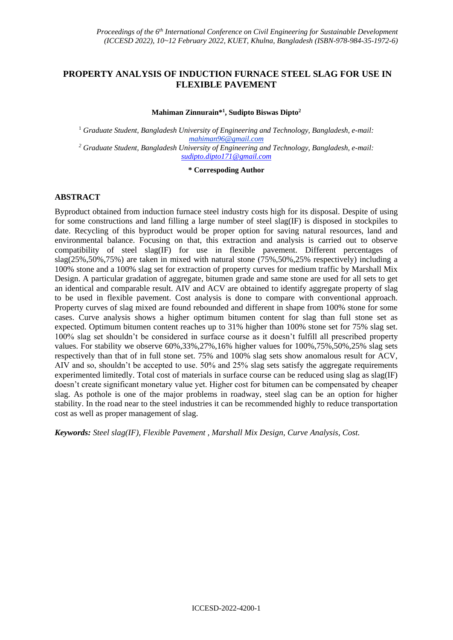# **PROPERTY ANALYSIS OF INDUCTION FURNACE STEEL SLAG FOR USE IN FLEXIBLE PAVEMENT**

### **Mahiman Zinnurain\* 1 , Sudipto Biswas Dipto<sup>2</sup>**

<sup>1</sup> *Graduate Student, Bangladesh University of Engineering and Technology, Bangladesh, e-mail: mahiman96@gmail.com <sup>2</sup> Graduate Student, Bangladesh University of Engineering and Technology, Bangladesh, e-mail: [sudipto.dipto171@gmail.com](mailto:sudipto.dipto171@gmail.com)*

#### **\* Correspoding Author**

## **ABSTRACT**

Byproduct obtained from induction furnace steel industry costs high for its disposal. Despite of using for some constructions and land filling a large number of steel slag(IF) is disposed in stockpiles to date. Recycling of this byproduct would be proper option for saving natural resources, land and environmental balance. Focusing on that, this extraction and analysis is carried out to observe compatibility of steel slag(IF) for use in flexible pavement. Different percentages of slag(25%,50%,75%) are taken in mixed with natural stone (75%,50%,25% respectively) including a 100% stone and a 100% slag set for extraction of property curves for medium traffic by Marshall Mix Design. A particular gradation of aggregate, bitumen grade and same stone are used for all sets to get an identical and comparable result. AIV and ACV are obtained to identify aggregate property of slag to be used in flexible pavement. Cost analysis is done to compare with conventional approach. Property curves of slag mixed are found rebounded and different in shape from 100% stone for some cases. Curve analysis shows a higher optimum bitumen content for slag than full stone set as expected. Optimum bitumen content reaches up to 31% higher than 100% stone set for 75% slag set. 100% slag set shouldn't be considered in surface course as it doesn't fulfill all prescribed property values. For stability we observe 60%,33%,27%,16% higher values for 100%,75%,50%,25% slag sets respectively than that of in full stone set. 75% and 100% slag sets show anomalous result for ACV, AIV and so, shouldn't be accepted to use. 50% and 25% slag sets satisfy the aggregate requirements experimented limitedly. Total cost of materials in surface course can be reduced using slag as slag(IF) doesn't create significant monetary value yet. Higher cost for bitumen can be compensated by cheaper slag. As pothole is one of the major problems in roadway, steel slag can be an option for higher stability. In the road near to the steel industries it can be recommended highly to reduce transportation cost as well as proper management of slag.

*Keywords: Steel slag(IF), Flexible Pavement , Marshall Mix Design, Curve Analysis, Cost.*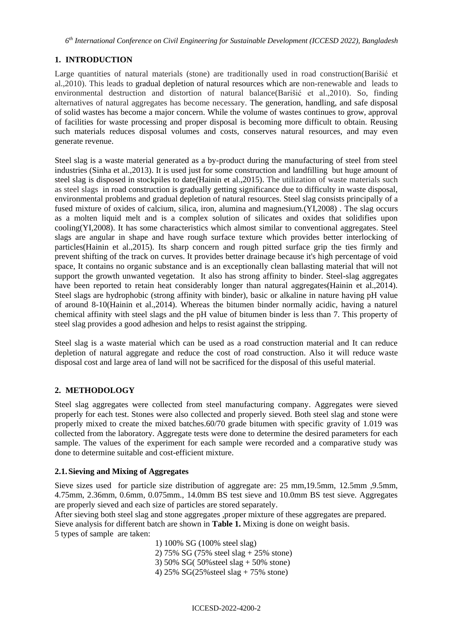*6 th International Conference on Civil Engineering for Sustainable Development (ICCESD 2022), Bangladesh*

# **1. INTRODUCTION**

Large quantities of natural materials (stone) are traditionally used in road construction(Barišić et al.,2010). This leads to gradual depletion of natural resources which are non-renewable and leads to environmental destruction and distortion of natural balance(Barišić et al.,2010). So, finding alternatives of natural aggregates has become necessary. The generation, handling, and safe disposal of solid wastes has become a major concern. While the volume of wastes continues to grow, approval of facilities for waste processing and proper disposal is becoming more difficult to obtain. Reusing such materials reduces disposal volumes and costs, conserves natural resources, and may even generate revenue.

Steel slag is a waste material generated as a by-product during the manufacturing of steel from steel industries (Sinha et al.,2013). It is used just for some construction and landfilling but huge amount of steel slag is disposed in stockpiles to date(Hainin et al.,2015). The utilization of waste materials such as steel slags in road construction is gradually getting significance due to difficulty in waste disposal, environmental problems and gradual depletion of natural resources. Steel slag consists principally of a fused mixture of oxides of calcium, silica, iron, alumina and magnesium.(YI,2008) . The slag occurs as a molten liquid melt and is a complex solution of silicates and oxides that solidifies upon cooling(YI,2008). It has some characteristics which almost similar to conventional aggregates. Steel slags are angular in shape and have rough surface texture which provides better interlocking of particles(Hainin et al.,2015). Its sharp concern and rough pitted surface grip the ties firmly and prevent shifting of the track on curves. It provides better drainage because it's high percentage of void space, It contains no organic substance and is an exceptionally clean ballasting material that will not support the growth unwanted vegetation. It also has strong affinity to binder. Steel-slag aggregates have been reported to retain heat considerably longer than natural aggregates (Hainin et al., 2014). Steel slags are hydrophobic (strong affinity with binder), basic or alkaline in nature having pH value of around 8-10(Hainin et al.,2014). Whereas the bitumen binder normally acidic, having a naturel chemical affinity with steel slags and the pH value of bitumen binder is less than 7. This property of steel slag provides a good adhesion and helps to resist against the stripping.

Steel slag is a waste material which can be used as a road construction material and It can reduce depletion of natural aggregate and reduce the cost of road construction. Also it will reduce waste disposal cost and large area of land will not be sacrificed for the disposal of this useful material.

# **2. METHODOLOGY**

Steel slag aggregates were collected from steel manufacturing company. Aggregates were sieved properly for each test. Stones were also collected and properly sieved. Both steel slag and stone were properly mixed to create the mixed batches.60/70 grade bitumen with specific gravity of 1.019 was collected from the laboratory. Aggregate tests were done to determine the desired parameters for each sample. The values of the experiment for each sample were recorded and a comparative study was done to determine suitable and cost-efficient mixture.

# **2.1.Sieving and Mixing of Aggregates**

Sieve sizes used for particle size distribution of aggregate are: 25 mm,19.5mm, 12.5mm ,9.5mm, 4.75mm, 2.36mm, 0.6mm, 0.075mm., 14.0mm BS test sieve and 10.0mm BS test sieve. Aggregates are properly sieved and each size of particles are stored separately.

After sieving both steel slag and stone aggregates ,proper mixture of these aggregates are prepared. Sieve analysis for different batch are shown in **Table 1.** Mixing is done on weight basis. 5 types of sample are taken:

> 1) 100% SG (100% steel slag) 2) 75% SG (75% steel slag + 25% stone) 3) 50% SG( 50%steel slag + 50% stone)

4) 25% SG(25%steel slag + 75% stone)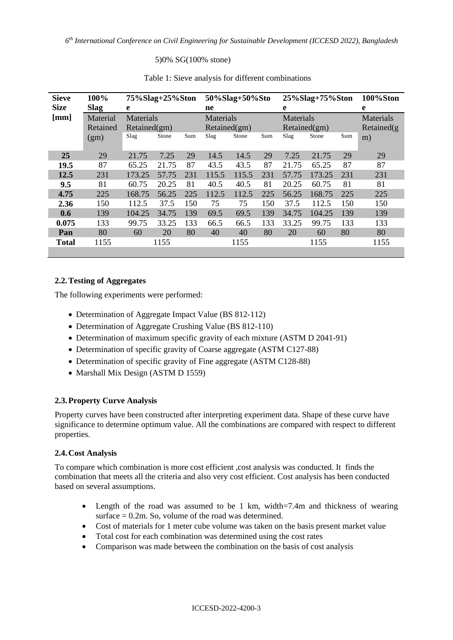### 5)0% SG(100% stone)

| <b>Sieve</b> | 100%        | 75%Slag+25%Ston  |       |     | 50%Slag+50%Sto   |       |     | 25%Slag+75%Ston |        |     | 100%Ston    |
|--------------|-------------|------------------|-------|-----|------------------|-------|-----|-----------------|--------|-----|-------------|
| <b>Size</b>  | <b>Slag</b> | e                |       |     | ne               |       |     | e               |        |     | e           |
| [mm]         | Material    | <b>Materials</b> |       |     | <b>Materials</b> |       |     | Materials       |        |     | Materials   |
|              | Retained    | Retained(gm)     |       |     | Retained(gm)     |       |     | Retained(gm)    |        |     | Retained(g) |
|              | (gm)        | Slag             | Stone | Sum | Slag             | Stone | Sum | Slag            | Stone  | Sum | m)          |
|              |             |                  |       |     |                  |       |     |                 |        |     |             |
| 25           | 29          | 21.75            | 7.25  | 29  | 14.5             | 14.5  | 29  | 7.25            | 21.75  | 29  | 29          |
| 19.5         | 87          | 65.25            | 21.75 | 87  | 43.5             | 43.5  | 87  | 21.75           | 65.25  | 87  | 87          |
| 12.5         | 231         | 173.25           | 57.75 | 231 | 115.5            | 115.5 | 231 | 57.75           | 173.25 | 231 | 231         |
| 9.5          | 81          | 60.75            | 20.25 | 81  | 40.5             | 40.5  | 81  | 20.25           | 60.75  | 81  | 81          |
| 4.75         | 225         | 168.75           | 56.25 | 225 | 112.5            | 112.5 | 225 | 56.25           | 168.75 | 225 | 225         |
| 2.36         | 150         | 112.5            | 37.5  | 150 | 75               | 75    | 150 | 37.5            | 112.5  | 150 | 150         |
| 0.6          | 139         | 104.25           | 34.75 | 139 | 69.5             | 69.5  | 139 | 34.75           | 104.25 | 139 | 139         |
| 0.075        | 133         | 99.75            | 33.25 | 133 | 66.5             | 66.5  | 133 | 33.25           | 99.75  | 133 | 133         |
| Pan          | 80          | 60               | 20    | 80  | 40               | 40    | 80  | 20              | 60     | 80  | 80          |
| <b>Total</b> | 1155        |                  | 1155  |     |                  | 1155  |     |                 | 1155   |     | 1155        |
|              |             |                  |       |     |                  |       |     |                 |        |     |             |

## Table 1: Sieve analysis for different combinations

## **2.2.Testing of Aggregates**

The following experiments were performed:

- Determination of Aggregate Impact Value (BS 812-112)
- Determination of Aggregate Crushing Value (BS 812-110)
- Determination of maximum specific gravity of each mixture (ASTM D 2041-91)
- Determination of specific gravity of Coarse aggregate (ASTM C127-88)
- Determination of specific gravity of Fine aggregate (ASTM C128-88)
- Marshall Mix Design (ASTM D 1559)

## **2.3.Property Curve Analysis**

Property curves have been constructed after interpreting experiment data. Shape of these curve have significance to determine optimum value. All the combinations are compared with respect to different properties.

## **2.4.Cost Analysis**

To compare which combination is more cost efficient ,cost analysis was conducted. It finds the combination that meets all the criteria and also very cost efficient. Cost analysis has been conducted based on several assumptions.

- Length of the road was assumed to be 1 km, width=7.4m and thickness of wearing surface  $= 0.2$ m. So, volume of the road was determined.
- Cost of materials for 1 meter cube volume was taken on the basis present market value
- Total cost for each combination was determined using the cost rates
- Comparison was made between the combination on the basis of cost analysis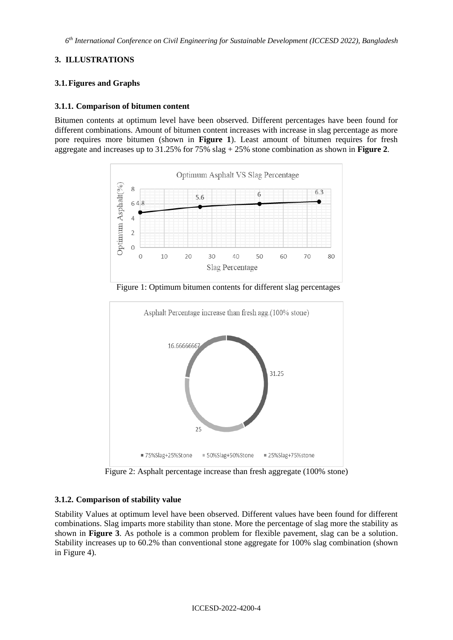## **3. ILLUSTRATIONS**

## **3.1.Figures and Graphs**

### **3.1.1. Comparison of bitumen content**

Bitumen contents at optimum level have been observed. Different percentages have been found for different combinations. Amount of bitumen content increases with increase in slag percentage as more pore requires more bitumen (shown in **Figure 1**). Least amount of bitumen requires for fresh aggregate and increases up to 31.25% for 75% slag + 25% stone combination as shown in **Figure 2**.



Figure 1: Optimum bitumen contents for different slag percentages



Figure 2: Asphalt percentage increase than fresh aggregate (100% stone)

## **3.1.2. Comparison of stability value**

Stability Values at optimum level have been observed. Different values have been found for different combinations. Slag imparts more stability than stone. More the percentage of slag more the stability as shown in **Figure 3**. As pothole is a common problem for flexible pavement, slag can be a solution. Stability increases up to 60.2% than conventional stone aggregate for 100% slag combination (shown in Figure 4).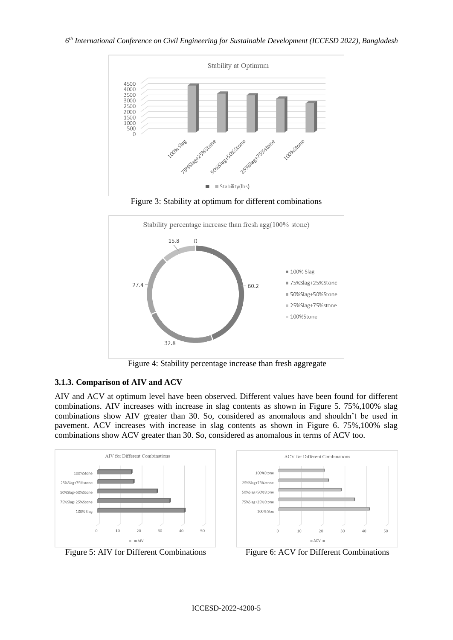

Figure 3: Stability at optimum for different combinations



Figure 4: Stability percentage increase than fresh aggregate

# **3.1.3. Comparison of AIV and ACV**

AIV and ACV at optimum level have been observed. Different values have been found for different combinations. AIV increases with increase in slag contents as shown in Figure 5. 75%,100% slag combinations show AIV greater than 30. So, considered as anomalous and shouldn't be used in pavement. ACV increases with increase in slag contents as shown in Figure 6. 75%,100% slag combinations show ACV greater than 30. So, considered as anomalous in terms of ACV too.





Figure 5: AIV for Different Combinations Figure 6: ACV for Different Combinations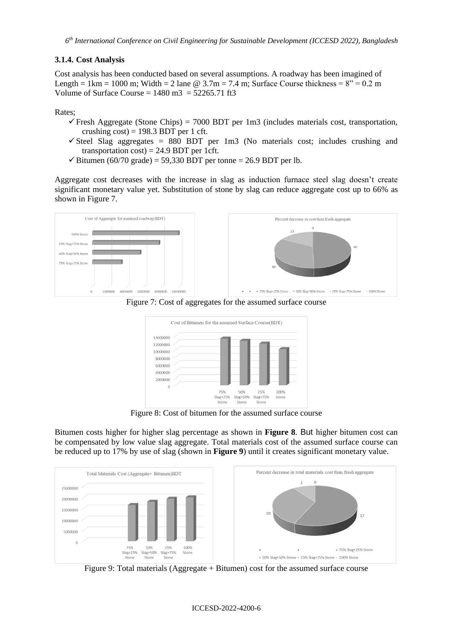### **3.1.4. Cost Analysis**

Cost analysis has been conducted based on several assumptions. A roadway has been imagined of Length = 1km = 1000 m; Width = 2 lane  $\omega$  3.7m = 7.4 m; Surface Course thickness =  $8'' = 0.2$  m Volume of Surface Course =  $1480 \text{ m}^3$  =  $52265.71 \text{ ft}^3$ 

Rates;

- $\checkmark$  Fresh Aggregate (Stone Chips) = 7000 BDT per 1m3 (includes materials cost, transportation, crushing  $cost$ ) = 198.3 BDT per 1 cft.
- $\checkmark$  Steel Slag aggregates = 880 BDT per 1m3 (No materials cost; includes crushing and transportation  $cost$ ) = 24.9 BDT per 1cft.
- $\checkmark$  Bitumen (60/70 grade) = 59,330 BDT per tonne = 26.9 BDT per lb.

Aggregate cost decreases with the increase in slag as induction furnace steel slag doesn't create significant monetary value yet. Substitution of stone by slag can reduce aggregate cost up to 66% as shown in Figure 7.



Figure 7: Cost of aggregates for the assumed surface course



Figure 8: Cost of bitumen for the assumed surface course

Bitumen costs higher for higher slag percentage as shown in **Figure 8**. But higher bitumen cost can be compensated by low value slag aggregate. Total materials cost of the assumed surface course can be reduced up to 17% by use of slag (shown in **Figure 9**) until it creates significant monetary value.



Figure 9: Total materials (Aggregate + Bitumen) cost for the assumed surface course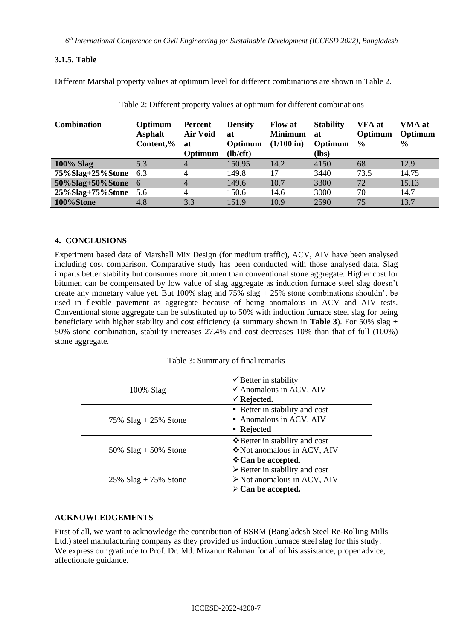*6 th International Conference on Civil Engineering for Sustainable Development (ICCESD 2022), Bangladesh*

## **3.1.5. Table**

Different Marshal property values at optimum level for different combinations are shown in Table 2.

| <b>Combination</b> | Optimum<br><b>Asphalt</b><br>Content,% | Percent<br><b>Air Void</b><br>at<br>Optimum | <b>Density</b><br>at<br>Optimum<br>(lb/cft) | <b>Flow at</b><br><b>Minimum</b><br>$(1/100 \text{ in})$ | <b>Stability</b><br>at<br>Optimum<br>(lbs) | <b>VFA</b> at<br>Optimum<br>$\frac{0}{0}$ | VMA at<br>Optimum<br>$\frac{6}{9}$ |
|--------------------|----------------------------------------|---------------------------------------------|---------------------------------------------|----------------------------------------------------------|--------------------------------------------|-------------------------------------------|------------------------------------|
| <b>100% Slag</b>   | 5.3                                    | 4                                           | 150.95                                      | 14.2                                                     | 4150                                       | 68                                        | 12.9                               |
| 75%Slag+25%Stone   | 6.3                                    | 4                                           | 149.8                                       | 17                                                       | 3440                                       | 73.5                                      | 14.75                              |
| 50%Slag+50%Stone   | - 6                                    | $\overline{4}$                              | 149.6                                       | 10.7                                                     | 3300                                       | 72                                        | 15.13                              |
| 25%Slag+75%Stone   | - 5.6                                  | 4                                           | 150.6                                       | 14.6                                                     | 3000                                       | 70                                        | 14.7                               |
| 100%Stone          | 4.8                                    | 3.3                                         | 151.9                                       | 10.9                                                     | 2590                                       | 75                                        | 13.7                               |

Table 2: Different property values at optimum for different combinations

# **4. CONCLUSIONS**

Experiment based data of Marshall Mix Design (for medium traffic), ACV, AIV have been analysed including cost comparison. Comparative study has been conducted with those analysed data. Slag imparts better stability but consumes more bitumen than conventional stone aggregate. Higher cost for bitumen can be compensated by low value of slag aggregate as induction furnace steel slag doesn't create any monetary value yet. But 100% slag and 75% slag  $+ 25$ % stone combinations shouldn't be used in flexible pavement as aggregate because of being anomalous in ACV and AIV tests. Conventional stone aggregate can be substituted up to 50% with induction furnace steel slag for being beneficiary with higher stability and cost efficiency (a summary shown in **Table 3**). For 50% slag + 50% stone combination, stability increases 27.4% and cost decreases 10% than that of full (100%) stone aggregate.

Table 3: Summary of final remarks

| $100\%$ Slag           | $\checkmark$ Better in stability<br>$\checkmark$ Anomalous in ACV, AIV<br>$\checkmark$ Rejected.                                 |
|------------------------|----------------------------------------------------------------------------------------------------------------------------------|
| 75% $Slag + 25%$ Stone | ■ Better in stability and cost<br>Anomalous in ACV, AIV<br>• Rejected                                                            |
| 50% $Slag + 50%$ Stone | ❖ Better in stability and cost<br>❖ Not anomalous in ACV, AIV<br><b>Vecan be accepted.</b>                                       |
| 25% $Slag + 75%$ Stone | $\triangleright$ Better in stability and cost<br>$\triangleright$ Not anomalous in ACV, AIV<br>$\triangleright$ Can be accepted. |

# **ACKNOWLEDGEMENTS**

First of all, we want to acknowledge the contribution of BSRM (Bangladesh Steel Re-Rolling Mills Ltd.) steel manufacturing company as they provided us induction furnace steel slag for this study. We express our gratitude to Prof. Dr. Md. Mizanur Rahman for all of his assistance, proper advice, affectionate guidance.